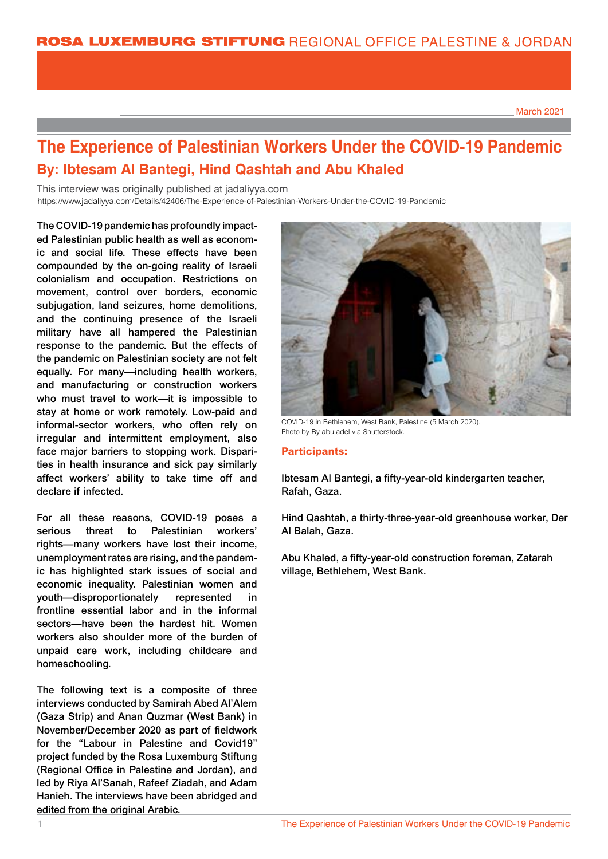March 2021

## **The Experience of Palestinian Workers Under the COVID-19 Pandemic By: Ibtesam Al Bantegi, Hind Qashtah and Abu Khaled**

This interview was originally published at jadaliyya.com https://www.jadaliyya.com/Details/42406/The-Experience-of-Palestinian-Workers-Under-the-COVID-19-Pandemic https://www.jadaliyya.com/Details/42406/The-Experience-of-Palestinian-Workers-Under-the-COVID-19-Pandemic

The COVID-19 pandemic has profoundly impacted Palestinian public health as well as economic and social life. These effects have been compounded by the on-going reality of Israeli colonialism and occupation. Restrictions on movement, control over borders, economic subjugation, land seizures, home demolitions, and the continuing presence of the Israeli military have all hampered the Palestinian response to the pandemic. But the effects of the pandemic on Palestinian society are not felt equally. For many—including health workers, and manufacturing or construction workers who must travel to work—it is impossible to stay at home or work remotely. Low-paid and informal-sector workers, who often rely on irregular and intermittent employment, also face major barriers to stopping work. Disparities in health insurance and sick pay similarly affect workers' ability to take time off and declare if infected.

For all these reasons, COVID-19 poses a serious threat to Palestinian workers' rights—many workers have lost their income, unemployment rates are rising, and the pandemic has highlighted stark issues of social and economic inequality. Palestinian women and youth—disproportionately represented in frontline essential labor and in the informal sectors—have been the hardest hit. Women workers also shoulder more of the burden of unpaid care work, including childcare and homeschooling.

The following text is a composite of three interviews conducted by Samirah Abed Al'Alem (Gaza Strip) and Anan Quzmar (West Bank) in November/December 2020 as part of fieldwork for the "Labour in Palestine and Covid19" project funded by the Rosa Luxemburg Stiftung (Regional Office in Palestine and Jordan), and led by Riya Al'Sanah, Rafeef Ziadah, and Adam Hanieh. The interviews have been abridged and edited from the original Arabic.



COVID-19 in Bethlehem, West Bank, Palestine (5 March 2020). Photo by By abu adel via Shutterstock.

## **Participants:**

Ibtesam Al Bantegi, a fifty-year-old kindergarten teacher, Rafah, Gaza.

Hind Qashtah, a thirty-three-year-old greenhouse worker, Der Al Balah, Gaza.

Abu Khaled, a fifty-year-old construction foreman, Zatarah village, Bethlehem, West Bank.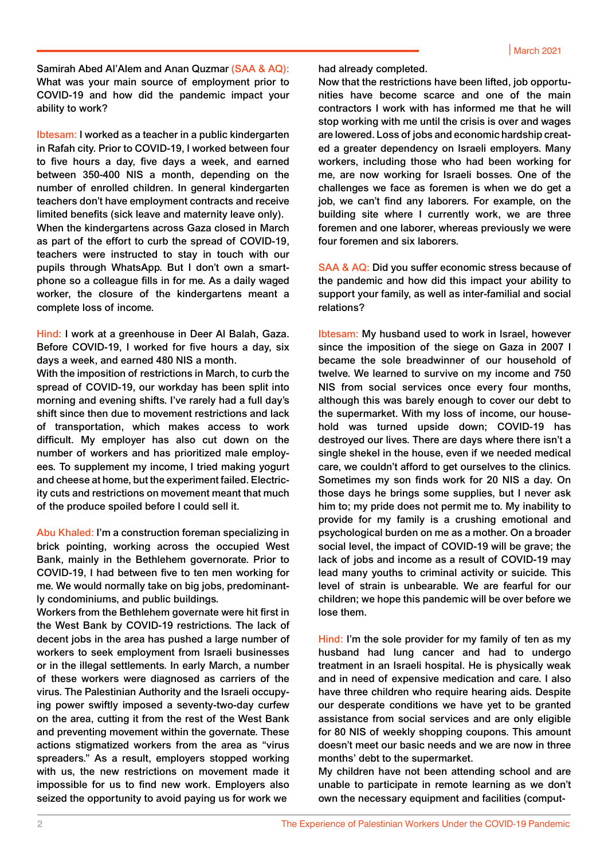Samirah Abed Al'Alem and Anan Quzmar (SAA & AQ): What was your main source of employment prior to COVID-19 and how did the pandemic impact your ability to work?

Ibtesam: I worked as a teacher in a public kindergarten in Rafah city. Prior to COVID-19, I worked between four to five hours a day, five days a week, and earned between 350-400 NIS a month, depending on the number of enrolled children. In general kindergarten teachers don't have employment contracts and receive limited benefits (sick leave and maternity leave only). When the kindergartens across Gaza closed in March as part of the effort to curb the spread of COVID-19, teachers were instructed to stay in touch with our pupils through WhatsApp. But I don't own a smartphone so a colleague fills in for me. As a daily waged worker, the closure of the kindergartens meant a

Hind: I work at a greenhouse in Deer Al Balah, Gaza. Before COVID-19, I worked for five hours a day, six days a week, and earned 480 NIS a month.

complete loss of income.

With the imposition of restrictions in March, to curb the spread of COVID-19, our workday has been split into morning and evening shifts. I've rarely had a full day's shift since then due to movement restrictions and lack of transportation, which makes access to work difficult. My employer has also cut down on the number of workers and has prioritized male employees. To supplement my income, I tried making yogurt and cheese at home, but the experiment failed. Electricity cuts and restrictions on movement meant that much of the produce spoiled before I could sell it.

Abu Khaled: I'm a construction foreman specializing in brick pointing, working across the occupied West Bank, mainly in the Bethlehem governorate. Prior to COVID-19, I had between five to ten men working for me. We would normally take on big jobs, predominantly condominiums, and public buildings.

Workers from the Bethlehem governate were hit first in the West Bank by COVID-19 restrictions. The lack of decent jobs in the area has pushed a large number of workers to seek employment from Israeli businesses or in the illegal settlements. In early March, a number of these workers were diagnosed as carriers of the virus. The Palestinian Authority and the Israeli occupying power swiftly imposed a seventy-two-day curfew on the area, cutting it from the rest of the West Bank and preventing movement within the governate. These actions stigmatized workers from the area as "virus spreaders." As a result, employers stopped working with us, the new restrictions on movement made it impossible for us to find new work. Employers also seized the opportunity to avoid paying us for work we

had already completed.

Now that the restrictions have been lifted, job opportunities have become scarce and one of the main contractors I work with has informed me that he will stop working with me until the crisis is over and wages are lowered. Loss of jobs and economic hardship created a greater dependency on Israeli employers. Many workers, including those who had been working for me, are now working for Israeli bosses. One of the challenges we face as foremen is when we do get a job, we can't find any laborers. For example, on the building site where I currently work, we are three foremen and one laborer, whereas previously we were four foremen and six laborers.

SAA & AQ: Did you suffer economic stress because of the pandemic and how did this impact your ability to support your family, as well as inter-familial and social relations?

Ibtesam: My husband used to work in Israel, however since the imposition of the siege on Gaza in 2007 I became the sole breadwinner of our household of twelve. We learned to survive on my income and 750 NIS from social services once every four months, although this was barely enough to cover our debt to the supermarket. With my loss of income, our household was turned upside down; COVID-19 has destroyed our lives. There are days where there isn't a single shekel in the house, even if we needed medical care, we couldn't afford to get ourselves to the clinics. Sometimes my son finds work for 20 NIS a day. On those days he brings some supplies, but I never ask him to; my pride does not permit me to. My inability to provide for my family is a crushing emotional and psychological burden on me as a mother. On a broader social level, the impact of COVID-19 will be grave; the lack of jobs and income as a result of COVID-19 may lead many youths to criminal activity or suicide. This level of strain is unbearable. We are fearful for our children; we hope this pandemic will be over before we lose them.

Hind: I'm the sole provider for my family of ten as my husband had lung cancer and had to undergo treatment in an Israeli hospital. He is physically weak and in need of expensive medication and care. I also have three children who require hearing aids. Despite our desperate conditions we have yet to be granted assistance from social services and are only eligible for 80 NIS of weekly shopping coupons. This amount doesn't meet our basic needs and we are now in three months' debt to the supermarket.

My children have not been attending school and are unable to participate in remote learning as we don't own the necessary equipment and facilities (comput-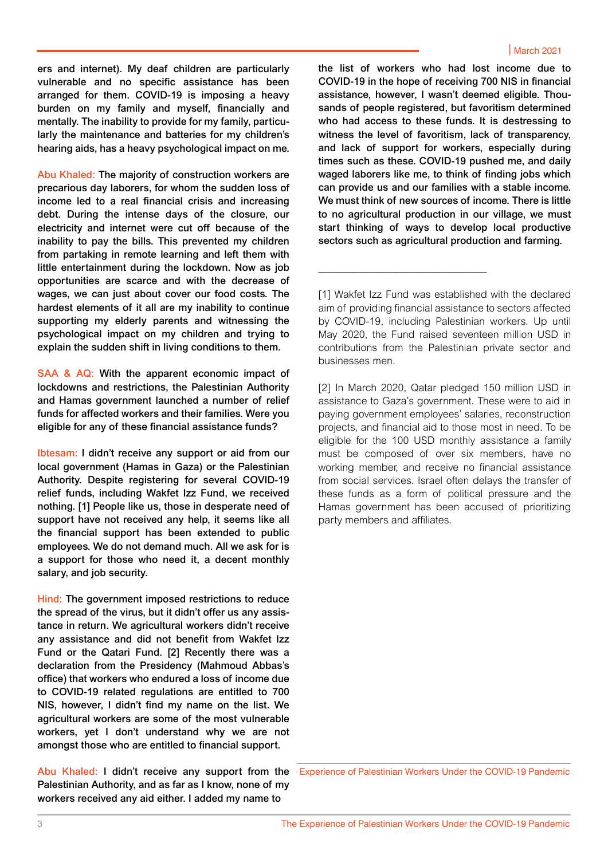ers and internet). My deaf children are particularly vulnerable and no specific assistance has been arranged for them. COVID-19 is imposing a heavy burden on my family and myself, financially and mentally. The inability to provide for my family, particularly the maintenance and batteries for my children's hearing aids, has a heavy psychological impact on me.

Abu Khaled: The majority of construction workers are precarious day laborers, for whom the sudden loss of income led to a real financial crisis and increasing debt. During the intense days of the closure, our electricity and internet were cut off because of the inability to pay the bills. This prevented my children from partaking in remote learning and left them with little entertainment during the lockdown. Now as job opportunities are scarce and with the decrease of wages, we can just about cover our food costs. The hardest elements of it all are my inability to continue supporting my elderly parents and witnessing the psychological impact on my children and trying to explain the sudden shift in living conditions to them.

SAA & AQ: With the apparent economic impact of lockdowns and restrictions, the Palestinian Authority and Hamas government launched a number of relief funds for affected workers and their families. Were you eligible for any of these financial assistance funds?

Ibtesam: I didn't receive any support or aid from our local government (Hamas in Gaza) or the Palestinian Authority. Despite registering for several COVID-19 relief funds, including Wakfet Izz Fund, we received nothing. [1] People like us, those in desperate need of support have not received any help, it seems like all the financial support has been extended to public employees. We do not demand much. All we ask for is a support for those who need it, a decent monthly salary, and job security.

Hind: The government imposed restrictions to reduce the spread of the virus, but it didn't offer us any assistance in return. We agricultural workers didn't receive any assistance and did not benefit from Wakfet Izz Fund or the Qatari Fund. [2] Recently there was a declaration from the Presidency (Mahmoud Abbas's office) that workers who endured a loss of income due to COVID-19 related regulations are entitled to 700 NIS, however, I didn't find my name on the list. We agricultural workers are some of the most vulnerable workers, yet I don't understand why we are not amongst those who are entitled to financial support.

Palestinian Authority, and as far as I know, none of my workers received any aid either. I added my name to

the list of workers who had lost income due to COVID-19 in the hope of receiving 700 NIS in financial assistance, however, I wasn't deemed eligible. Thousands of people registered, but favoritism determined who had access to these funds. It is destressing to witness the level of favoritism, lack of transparency, and lack of support for workers, especially during times such as these. COVID-19 pushed me, and daily waged laborers like me, to think of finding jobs which can provide us and our families with a stable income. We must think of new sources of income. There is little to no agricultural production in our village, we must start thinking of ways to develop local productive sectors such as agricultural production and farming.

[1] Wakfet Izz Fund was established with the declared by COVID-19, including Palestinian workers. Up until contributions from the Palestinian private sector and businesses men. **Executed assistance to sectors affected assistance to sectors affected affected affected affected and sectors affected and sectors affected and sectors affected affects.** aim of providing financial assistance to sectors affected May 2020, the Fund raised seventeen million USD in

*[This interview is paired with a separate interview* 

\_\_\_\_\_\_\_\_\_\_\_\_\_\_\_\_\_\_\_\_\_\_\_\_\_\_\_\_\_\_\_\_\_

[2] In March 2020, Qatar pledged 150 million USD in assistance to Gaza's government. These were to aid in paying government employees' salaries, reconstruction eligible for the 100 USD monthly assistance a family must be composed of over six members, have no working member, and receive no financial assistance from social services. Israel often delays the transfer of these funds as a form of political pressure and the Hamas government has been accused of prioritizing party members and affiliates. projects, and financial aid to those most in need. To be

Abu Khaled: I didn't receive any support from the Experience of Palestinian Workers Under the COVID-19 Pandemic